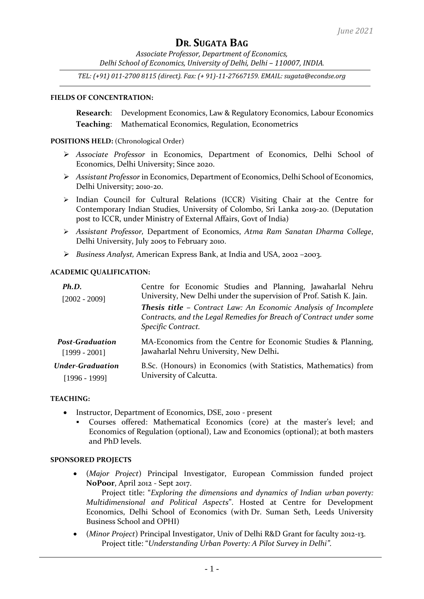*Associate Professor, Department of Economics, Delhi School of Economics, University of Delhi, Delhi – 110007, INDIA.*

*TEL: (+91) 011-2700 8115 (direct). Fax: (+ 91)-11-27667159. EMAIL[: sugata@econdse.org](mailto:sugata@econdse.org)*

### **FIELDS OF CONCENTRATION:**

**Research**: Development Economics, Law & Regulatory Economics, Labour Economics **Teaching**: Mathematical Economics, Regulation, Econometrics

### **POSITIONS HELD:** (Chronological Order)

- ➢ *Associate Professor* in Economics, Department of Economics, Delhi School of Economics, Delhi University; Since 2020.
- ➢ *Assistant Professor* in Economics, Department of Economics, Delhi School of Economics, Delhi University; 2010-20.
- ➢ Indian Council for Cultural Relations (ICCR) Visiting Chair at the Centre for Contemporary Indian Studies, University of Colombo, Sri Lanka 2019-20. (Deputation post to ICCR, under Ministry of External Affairs, Govt of India)
- ➢ *Assistant Professor,* Department of Economics, *Atma Ram Sanatan Dharma College*, Delhi University, July 2005 to February 2010.
- ➢ *Business Analyst,* American Express Bank, at India and USA, 2002 –2003.

### **ACADEMIC QUALIFICATION:**

| Ph.D.                   | Centre for Economic Studies and Planning, Jawaharlal Nehru                                                                                                          |
|-------------------------|---------------------------------------------------------------------------------------------------------------------------------------------------------------------|
| $[2002 - 2009]$         | University, New Delhi under the supervision of Prof. Satish K. Jain.                                                                                                |
|                         | <b>Thesis title - Contract Law: An Economic Analysis of Incomplete</b><br>Contracts, and the Legal Remedies for Breach of Contract under some<br>Specific Contract. |
| <b>Post-Graduation</b>  | MA-Economics from the Centre for Economic Studies & Planning,                                                                                                       |
| $[1999 - 2001]$         | Jawaharlal Nehru University, New Delhi.                                                                                                                             |
| <b>Under-Graduation</b> | B.Sc. (Honours) in Economics (with Statistics, Mathematics) from                                                                                                    |
| $[1996 - 1999]$         | University of Calcutta.                                                                                                                                             |

#### **TEACHING:**

- Instructor, Department of Economics, DSE, 2010 present
	- Courses offered: Mathematical Economics (core) at the master's level; and Economics of Regulation (optional), Law and Economics (optional); at both masters and PhD levels.

#### **SPONSORED PROJECTS**

• (*Major Project*) Principal Investigator, European Commission funded project **[NoPoor](http://www.nopoor.eu/)**, April 2012 - Sept 2017.

Project title: "*Exploring the dimensions and dynamics of Indian urban poverty: Multidimensional and Political Aspects*". Hosted at Centre for Development Economics, Delhi School of Economics (with [Dr. Suman Seth,](http://www.ophi.org.uk/about/people/current-people/suman-seth/) Leeds University Business School and [OPHI\)](http://www.ophi.org.uk/about/people/current-people/suman-seth/)

• (*Minor Project*) Principal Investigator, Univ of Delhi R&D Grant for faculty 2012-13. Project title: "*Understanding Urban Poverty: A Pilot Survey in Delhi"*.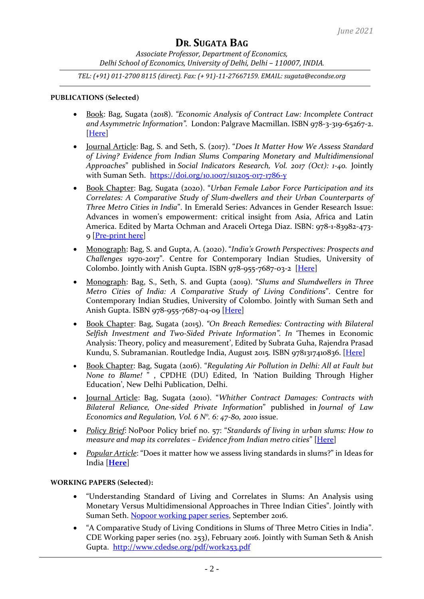*Associate Professor, Department of Economics, Delhi School of Economics, University of Delhi, Delhi – 110007, INDIA.*

*TEL: (+91) 011-2700 8115 (direct). Fax: (+ 91)-11-27667159. EMAIL[: sugata@econdse.org](mailto:sugata@econdse.org)*

### **PUBLICATIONS (Selected)**

- Book: Bag, Sugata (2018). *"Economic Analysis of Contract Law: Incomplete Contract and Asymmetric Information".* London: Palgrave Macmillan. ISBN 978-3-319-65267-2. [\[Here\]](http://www.palgrave.com/in/book/9783319652672)
- Journal Article: Bag, S. and Seth, S. (2017). "*Does It Matter How We Assess Standard of Living? Evidence from Indian Slums Comparing Monetary and Multidimensional Approaches*" published in *Social Indicators Research, Vol. 2017 (Oct): 1-40.* Jointly with Suman Seth. <https://doi.org/10.1007/s11205-017-1786-y>
- Book Chapter: Bag, Sugata (2020). "*Urban Female Labor Force Participation and its Correlates: A Comparative Study of Slum-dwellers and their Urban Counterparts of Three Metro Cities in India*". In Emerald Series: Advances in Gender Research Issue: Advances in women's empowerment: critical insight from Asia, Africa and Latin America. Edited by Marta Ochman and Araceli Ortega Diaz. ISBN: 978-1-83982-473- 9 [\[Pre-print](https://www.researchgate.net/profile/Sugata-Bag-2/publication/339446239_Urban_Female_Labor_Force_Participation_and_its_Correlates_A_Comparative_Study_of_Slum-dwellers_and_their_Urban_Counterparts_of_Three_Metro_Cities_in_India/links/5e535e81299bf1cdb9456984/Urban-Female-Labor-Force-Participation-and-its-Correlates-A-Comparative-Study-of-Slum-dwellers-and-their-Urban-Counterparts-of-Three-Metro-Cities-in-India.pdf?origin=profileFeaturedResearchPublicationItem) here]
- Monograph: Bag, S. and Gupta, A. (2020). "*India's Growth Perspectives: Prospects and Challenges* 1970-2017". Centre for Contemporary Indian Studies, University of Colombo. Jointly with Anish Gupta. ISBN 978-955-7687-03-2 [\[Here\]](https://www.researchgate.net/profile/Sugata-Bag-2/publication/344286270_India)
- Monograph: Bag, S., Seth, S. and Gupta (2019). "*Slums and Slumdwellers in Three Metro Cities of India: A Comparative Study of Living Conditions*". Centre for Contemporary Indian Studies, University of Colombo. Jointly with Suman Seth and Anish Gupta. ISBN 978-955-7687-04-09 [\[Here\]](https://www.researchgate.net/publication/338514653_Slums_and_Slumdwellers_in_Three_Metro_Cities_of_India_A_Comparative_Study_of_Living_Conditions)
- Book Chapter: Bag, Sugata (2015). *"On Breach Remedies: Contracting with Bilateral Selfish Investment and Two-Sided Private Information". In* 'Themes in Economic Analysis: Theory, policy and measurement', Edited by Subrata Guha, Rajendra Prasad Kundu, S. Subramanian. Routledge India, August 2015*.* ISBN 9781317410836. [\[Here\]](https://www.taylorfrancis.com/books/e/9781317410836)
- Book Chapter: Bag, Sugata (2016). "*Regulating Air Pollution in Delhi: All at Fault but None to Blame!* " , CPDHE (DU) Edited, In 'Nation Building Through Higher Education', New Delhi Publication, Delhi.
- Journal Article: Bag, Sugata (2010). "*Whither Contract Damages: Contracts with Bilateral Reliance, One-sided Private Information*" published in *Journal of Law Economics and Regulation, Vol. 6 N°. 6: 47-80, 2010* issue.
- *Policy Brief*: NoPoor Policy brief no. 57: "*Standards of living in urban slums: How to measure and map its correlates – Evidence from Indian metro cities*" [\[Here\]](http://www.nopoor.eu/download/file/fid/1690)
- *Popular Article*: "Does it matter how we assess living standards in slums?" in Ideas for India [**[Here](https://www.ideasforindia.in/topics/urbanisation/does-it-matter-how-we-assess-living-standards-in-slums.html)**]

## **WORKING PAPERS (Selected):**

- "Understanding Standard of Living and Correlates in Slums: An Analysis using Monetary Versus Multidimensional Approaches in Three Indian Cities". Jointly with Suman Seth. [Nopoor working paper series,](http://www.nopoor.eu/download/file/fid/1134) September 2016.
- "A Comparative Study of Living Conditions in Slums of Three Metro Cities in India". CDE Working paper series (no. 253), February 2016. Jointly with Suman Seth & Anish Gupta. <http://www.cdedse.org/pdf/work253.pdf>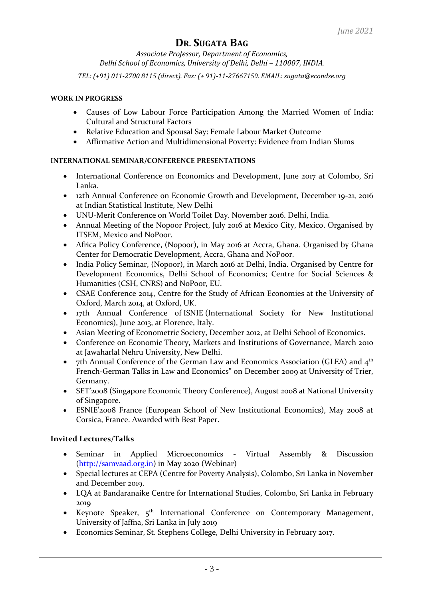*Associate Professor, Department of Economics, Delhi School of Economics, University of Delhi, Delhi – 110007, INDIA.*

*TEL: (+91) 011-2700 8115 (direct). Fax: (+ 91)-11-27667159. EMAIL[: sugata@econdse.org](mailto:sugata@econdse.org)*

### **WORK IN PROGRESS**

- Causes of Low Labour Force Participation Among the Married Women of India: Cultural and Structural Factors
- Relative Education and Spousal Say: Female Labour Market Outcome
- Affirmative Action and Multidimensional Poverty: Evidence from Indian Slums

## **INTERNATIONAL SEMINAR/CONFERENCE PRESENTATIONS**

- International Conference on Economics and Development, June 2017 at Colombo, Sri Lanka.
- 12th Annual Conference on Economic Growth and Development, December 19-21, 2016 at Indian Statistical Institute, New Delhi
- UNU-Merit Conference on World Toilet Day. November 2016. Delhi, India.
- Annual Meeting of the Nopoor Project, July 2016 at Mexico City, Mexico. Organised by ITSEM, Mexico and NoPoor.
- Africa Policy Conference, (Nopoor), in May 2016 at Accra, Ghana. Organised by Ghana Center for Democratic Development, Accra, Ghana and NoPoor.
- India Policy Seminar, (Nopoor), in March 2016 at Delhi, India. Organised by Centre for Development Economics, Delhi School of Economics; Centre for Social Sciences & Humanities (CSH, CNRS) and NoPoor, EU.
- CSAE Conference 2014, Centre for the Study of African Economies at the University of Oxford, March 2014, at Oxford, UK.
- 17th Annual Conference of ISNIE (International Society for New Institutional Economics), June 2013, at Florence, Italy.
- Asian Meeting of Econometric Society, December 2012, at Delhi School of Economics.
- Conference on Economic Theory, Markets and Institutions of Governance, March 2010 at Jawaharlal Nehru University, New Delhi.
- 7th Annual Conference of the German Law and Economics Association (GLEA) and  $4<sup>th</sup>$ French-German Talks in Law and Economics" on December 2009 at University of Trier, Germany.
- SET'2008 (Singapore Economic Theory Conference), August 2008 at National University of Singapore.
- ESNIE'2008 France (European School of New Institutional Economics), May 2008 at Corsica, France. Awarded with Best Paper.

## **Invited Lectures/Talks**

- Seminar in Applied Microeconomics Virtual Assembly & Discussion [\(http://samvaad.org.in\)](http://samvaad.org.in/) in May 2020 (Webinar)
- Special lectures at CEPA (Centre for Poverty Analysis), Colombo, Sri Lanka in November and December 2019.
- LQA at Bandaranaike Centre for International Studies, Colombo, Sri Lanka in February 2019
- Keynote Speaker, 5<sup>th</sup> International Conference on Contemporary Management, University of Jaffna, Sri Lanka in July 2019
- Economics Seminar, St. Stephens College, Delhi University in February 2017.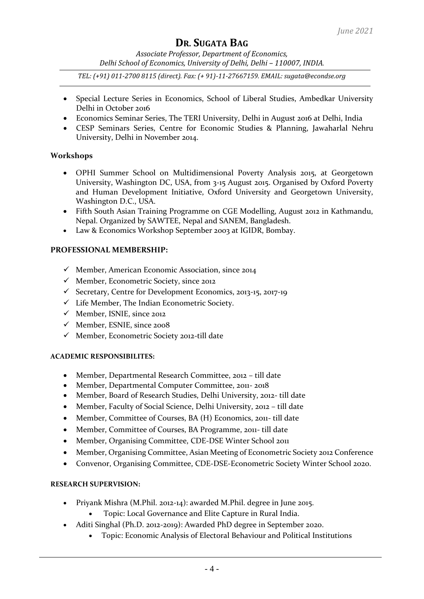*Associate Professor, Department of Economics, Delhi School of Economics, University of Delhi, Delhi – 110007, INDIA.*

*TEL: (+91) 011-2700 8115 (direct). Fax: (+ 91)-11-27667159. EMAIL[: sugata@econdse.org](mailto:sugata@econdse.org)*

- Special Lecture Series in Economics, School of Liberal Studies, Ambedkar University Delhi in October 2016
- Economics Seminar Series, The TERI University, Delhi in August 2016 at Delhi, India
- CESP Seminars Series, Centre for Economic Studies & Planning, Jawaharlal Nehru University, Delhi in November 2014.

## **Workshops**

- OPHI Summer School on Multidimensional Poverty Analysis 2015, at Georgetown University, Washington DC, USA, from 3-15 August 2015. Organised by Oxford Poverty and Human Development Initiative, Oxford University and Georgetown University, Washington D.C., USA.
- Fifth South Asian Training Programme on CGE Modelling, August 2012 in Kathmandu, Nepal. Organized by SAWTEE, Nepal and SANEM, Bangladesh.
- Law & Economics Workshop September 2003 at IGIDR, Bombay.

## **PROFESSIONAL MEMBERSHIP:**

- ✓ Member, American Economic Association, since 2014
- ✓ Member, Econometric Society, since 2012
- ✓ Secretary, Centre for Development Economics, 2013-15, 2017-19
- ✓ Life Member, The Indian Econometric Society.
- ✓ Member, ISNIE, since 2012
- $\checkmark$  Member, ESNIE, since 2008
- ✓ Member, Econometric Society 2012-till date

## **ACADEMIC RESPONSIBILITES:**

- Member, Departmental Research Committee, 2012 till date
- Member, Departmental Computer Committee, 2011- 2018
- Member, Board of Research Studies, Delhi University, 2012- till date
- Member, Faculty of Social Science, Delhi University, 2012 till date
- Member, Committee of Courses, BA (H) Economics, 2011- till date
- Member, Committee of Courses, BA Programme, 2011- till date
- Member, Organising Committee, CDE-DSE Winter School 2011
- Member, Organising Committee, Asian Meeting of Econometric Society 2012 Conference
- Convenor, Organising Committee, CDE-DSE-Econometric Society Winter School 2020.

## **RESEARCH SUPERVISION:**

- Priyank Mishra (M.Phil. 2012-14): awarded M.Phil. degree in June 2015.
	- Topic: Local Governance and Elite Capture in Rural India.
- Aditi Singhal (Ph.D. 2012-2019): Awarded PhD degree in September 2020.
	- Topic: Economic Analysis of Electoral Behaviour and Political Institutions